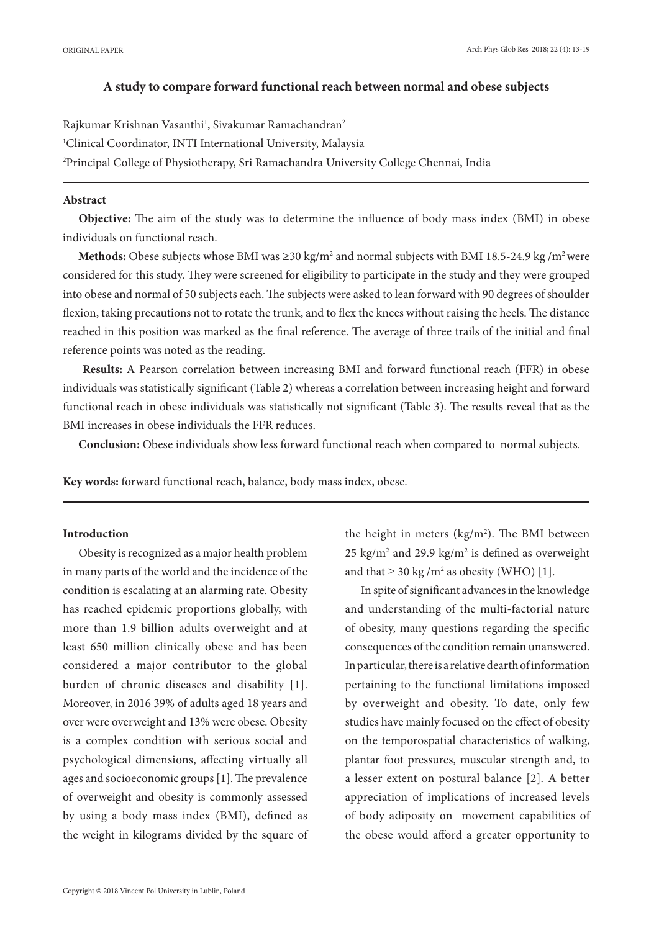## **A study to compare forward functional reach between normal and obese subjects**

Rajkumar Krishnan Vasanthi<sup>1</sup>, Sivakumar Ramachandran<sup>2</sup> 1 Clinical Coordinator, INTI International University, Malaysia 2 Principal College of Physiotherapy, Sri Ramachandra University College Chennai, India

# **Abstract**

**Objective:** The aim of the study was to determine the influence of body mass index (BMI) in obese individuals on functional reach.

**Methods:** Obese subjects whose BMI was ≥30 kg/m<sup>2</sup> and normal subjects with BMI 18.5-24.9 kg /m<sup>2</sup> were considered for this study. They were screened for eligibility to participate in the study and they were grouped into obese and normal of 50 subjects each. The subjects were asked to lean forward with 90 degrees of shoulder flexion, taking precautions not to rotate the trunk, and to flex the knees without raising the heels. The distance reached in this position was marked as the final reference. The average of three trails of the initial and final reference points was noted as the reading.

**Results:** A Pearson correlation between increasing BMI and forward functional reach (FFR) in obese individuals was statistically significant (Table 2) whereas a correlation between increasing height and forward functional reach in obese individuals was statistically not significant (Table 3). The results reveal that as the BMI increases in obese individuals the FFR reduces.

**Conclusion:** Obese individuals show less forward functional reach when compared to normal subjects.

**Key words:** forward functional reach, balance, body mass index, obese.

## **Introduction**

Obesity is recognized as a major health problem in many parts of the world and the incidence of the condition is escalating at an alarming rate. Obesity has reached epidemic proportions globally, with more than 1.9 billion adults overweight and at least 650 million clinically obese and has been considered a major contributor to the global burden of chronic diseases and disability [1]. Moreover, in 2016 39% of adults aged 18 years and over were overweight and 13% were obese. Obesity is a complex condition with serious social and psychological dimensions, affecting virtually all ages and socioeconomic groups [1]. The prevalence of overweight and obesity is commonly assessed by using a body mass index (BMI), defined as the weight in kilograms divided by the square of

the height in meters  $(kg/m<sup>2</sup>)$ . The BMI between  $25 \text{ kg/m}^2$  and  $29.9 \text{ kg/m}^2$  is defined as overweight and that  $\geq 30$  kg /m<sup>2</sup> as obesity (WHO) [1].

In spite of significant advances in the knowledge and understanding of the multi-factorial nature of obesity, many questions regarding the specific consequences of the condition remain unanswered. In particular, there is a relative dearth of information pertaining to the functional limitations imposed by overweight and obesity. To date, only few studies have mainly focused on the effect of obesity on the temporospatial characteristics of walking, plantar foot pressures, muscular strength and, to a lesser extent on postural balance [2]. A better appreciation of implications of increased levels of body adiposity on movement capabilities of the obese would afford a greater opportunity to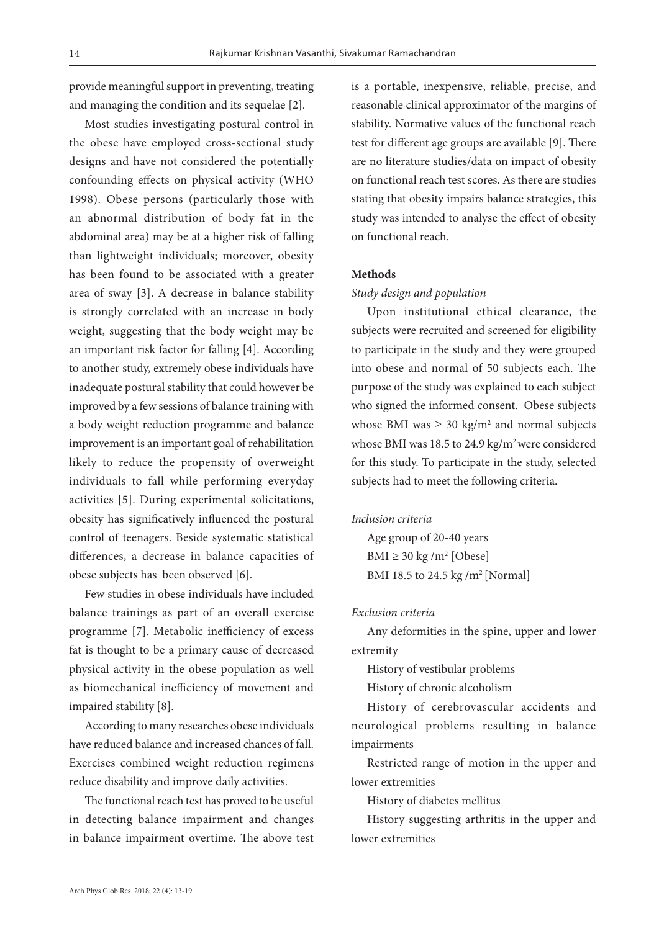provide meaningful support in preventing, treating and managing the condition and its sequelae [2].

Most studies investigating postural control in the obese have employed cross-sectional study designs and have not considered the potentially confounding effects on physical activity (WHO 1998). Obese persons (particularly those with an abnormal distribution of body fat in the abdominal area) may be at a higher risk of falling than lightweight individuals; moreover, obesity has been found to be associated with a greater area of sway [3]. A decrease in balance stability is strongly correlated with an increase in body weight, suggesting that the body weight may be an important risk factor for falling [4]. According to another study, extremely obese individuals have inadequate postural stability that could however be improved by a few sessions of balance training with a body weight reduction programme and balance improvement is an important goal of rehabilitation likely to reduce the propensity of overweight individuals to fall while performing everyday activities [5]. During experimental solicitations, obesity has significatively influenced the postural control of teenagers. Beside systematic statistical differences, a decrease in balance capacities of obese subjects has been observed [6].

Few studies in obese individuals have included balance trainings as part of an overall exercise programme [7]. Metabolic inefficiency of excess fat is thought to be a primary cause of decreased physical activity in the obese population as well as biomechanical inefficiency of movement and impaired stability [8].

According to many researches obese individuals have reduced balance and increased chances of fall. Exercises combined weight reduction regimens reduce disability and improve daily activities.

The functional reach test has proved to be useful in detecting balance impairment and changes in balance impairment overtime. The above test is a portable, inexpensive, reliable, precise, and reasonable clinical approximator of the margins of stability. Normative values of the functional reach test for different age groups are available [9]. There are no literature studies/data on impact of obesity on functional reach test scores. As there are studies stating that obesity impairs balance strategies, this study was intended to analyse the effect of obesity on functional reach.

# **Methods**

#### *Study design and population*

Upon institutional ethical clearance, the subjects were recruited and screened for eligibility to participate in the study and they were grouped into obese and normal of 50 subjects each. The purpose of the study was explained to each subject who signed the informed consent. Obese subjects whose BMI was  $\geq 30 \text{ kg/m}^2$  and normal subjects whose BMI was 18.5 to 24.9 kg/m<sup>2</sup> were considered for this study. To participate in the study, selected subjects had to meet the following criteria.

## *Inclusion criteria*

Age group of 20-40 years BMI  $\geq$  30 kg /m<sup>2</sup> [Obese] BMI 18.5 to 24.5 kg /m<sup>2</sup> [Normal]

# *Exclusion criteria*

Any deformities in the spine, upper and lower extremity

History of vestibular problems

History of chronic alcoholism

History of cerebrovascular accidents and neurological problems resulting in balance impairments

Restricted range of motion in the upper and lower extremities

History of diabetes mellitus

History suggesting arthritis in the upper and lower extremities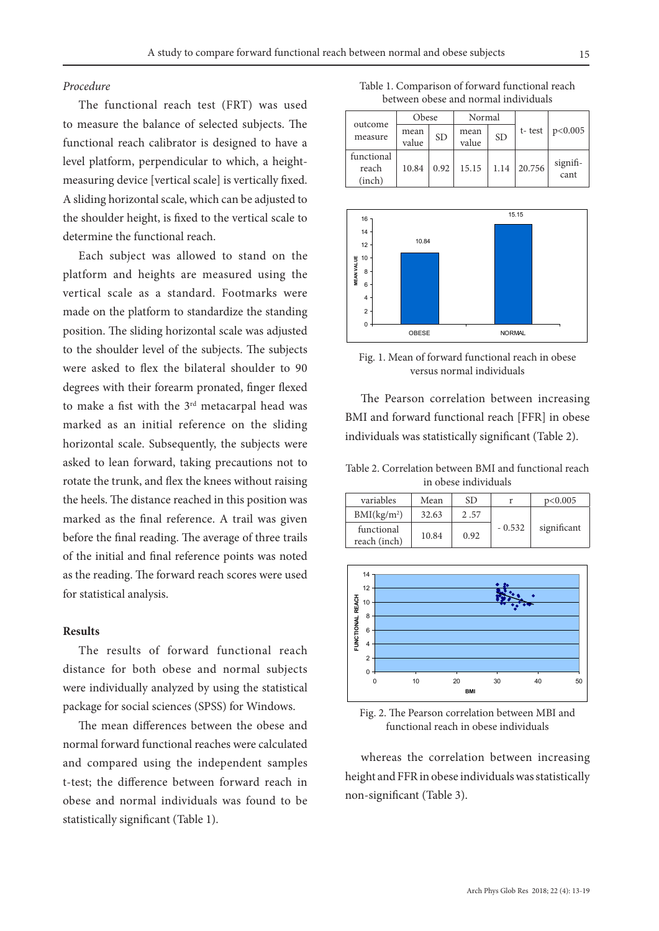### *Procedure*

The functional reach test (FRT) was used to measure the balance of selected subjects. The functional reach calibrator is designed to have a level platform, perpendicular to which, a heightmeasuring device [vertical scale] is vertically fixed. A sliding horizontal scale, which can be adjusted to the shoulder height, is fixed to the vertical scale to determine the functional reach.

Each subject was allowed to stand on the platform and heights are measured using the vertical scale as a standard. Footmarks were made on the platform to standardize the standing position. The sliding horizontal scale was adjusted to the shoulder level of the subjects. The subjects were asked to flex the bilateral shoulder to 90 degrees with their forearm pronated, finger flexed to make a fist with the 3<sup>rd</sup> metacarpal head was marked as an initial reference on the sliding horizontal scale. Subsequently, the subjects were asked to lean forward, taking precautions not to rotate the trunk, and flex the knees without raising the heels. The distance reached in this position was marked as the final reference. A trail was given before the final reading. The average of three trails of the initial and final reference points was noted as the reading. The forward reach scores were used for statistical analysis.

# **Results**

The results of forward functional reach distance for both obese and normal subjects were individually analyzed by using the statistical package for social sciences (SPSS) for Windows.

The mean differences between the obese and normal forward functional reaches were calculated and compared using the independent samples t-test; the difference between forward reach in obese and normal individuals was found to be statistically significant (Table 1).

Table 1. Comparison of forward functional reach between obese and normal individuals

|                               | Obese         |           | Normal        |           |        |                  |
|-------------------------------|---------------|-----------|---------------|-----------|--------|------------------|
| outcome<br>measure            | mean<br>value | <b>SD</b> | mean<br>value | <b>SD</b> | t-test | p<0.005          |
| functional<br>reach<br>(inch) | 10.84         | 0.92      | 15.15         | 1.14      | 20.756 | signifi-<br>cant |



Fig. 1. Mean of forward functional reach in obese versus normal individuals

The Pearson correlation between increasing BMI and forward functional reach [FFR] in obese individuals was statistically significant (Table 2).

Table 2. Correlation between BMI and functional reach in obese individuals

| variables                  | Mean  | SD.  |          | p<0.005     |
|----------------------------|-------|------|----------|-------------|
| BMI(kg/m <sup>2</sup> )    | 32.63 | 2.57 |          |             |
| functional<br>reach (inch) | 10.84 | 0.92 | $-0.532$ | significant |



Fig. 2. The Pearson correlation between MBI and functional reach in obese individuals

whereas the correlation between increasing height and FFR in obese individuals was statistically non-significant (Table 3).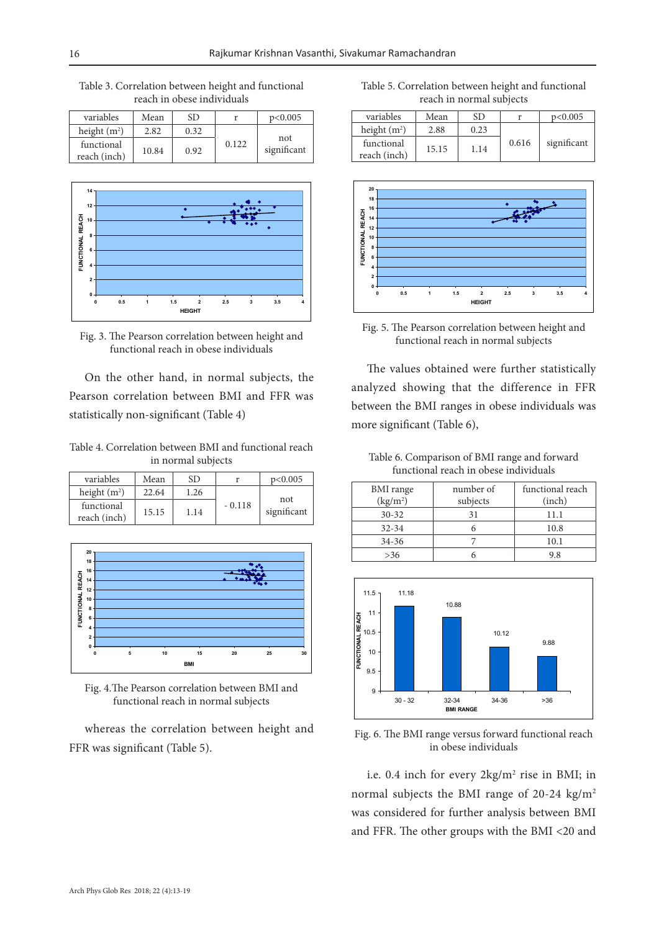Table 3. Correlation between height and functional reach in obese individuals

| variables                  | Mean  | SD   |       | p<0.005            |
|----------------------------|-------|------|-------|--------------------|
| height $(m2)$              | 2.82  | 0.32 |       |                    |
| functional<br>reach (inch) | 10.84 | 0.92 | 0.122 | not<br>significant |





On the other hand, in normal subjects, the Pearson correlation between BMI and FFR was statistically non-significant (Table 4)

Table 4. Correlation between BMI and functional reach in normal subjects

| variables                  | Mean  | SD   |          | p<0.005            |
|----------------------------|-------|------|----------|--------------------|
| height $(m2)$              | 22.64 | 1.26 |          |                    |
| functional<br>reach (inch) | 15.15 | 1.14 | $-0.118$ | not<br>significant |



Fig. 4.The Pearson correlation between BMI and functional reach in normal subjects

whereas the correlation between height and FFR was significant (Table 5).

Table 5. Correlation between height and functional reach in normal subjects

| variables                  | Mean  | SD.  |       | p<0.005     |
|----------------------------|-------|------|-------|-------------|
| height $(m2)$              | 2.88  | 0.23 |       |             |
| functional<br>reach (inch) | 15.15 | 1.14 | 0.616 | significant |



Fig. 5. The Pearson correlation between height and functional reach in normal subjects

The values obtained were further statistically analyzed showing that the difference in FFR between the BMI ranges in obese individuals was more significant (Table 6),

Table 6. Comparison of BMI range and forward functional reach in obese individuals

| <b>BMI</b> range<br>(kg/m <sup>2</sup> ) | number of<br>subjects | functional reach<br>(inch) |
|------------------------------------------|-----------------------|----------------------------|
| $30 - 32$                                | 31                    | 11.1                       |
| $32 - 34$                                |                       | 10.8                       |
| $34 - 36$                                |                       | 10.1                       |
| >36                                      |                       | 9.8                        |



Fig. 6. The BMI range versus forward functional reach in obese individuals

i.e. 0.4 inch for every  $2\text{kg/m}^2$  rise in BMI; in normal subjects the BMI range of 20-24 kg/m<sup>2</sup> was considered for further analysis between BMI and FFR. The other groups with the BMI <20 and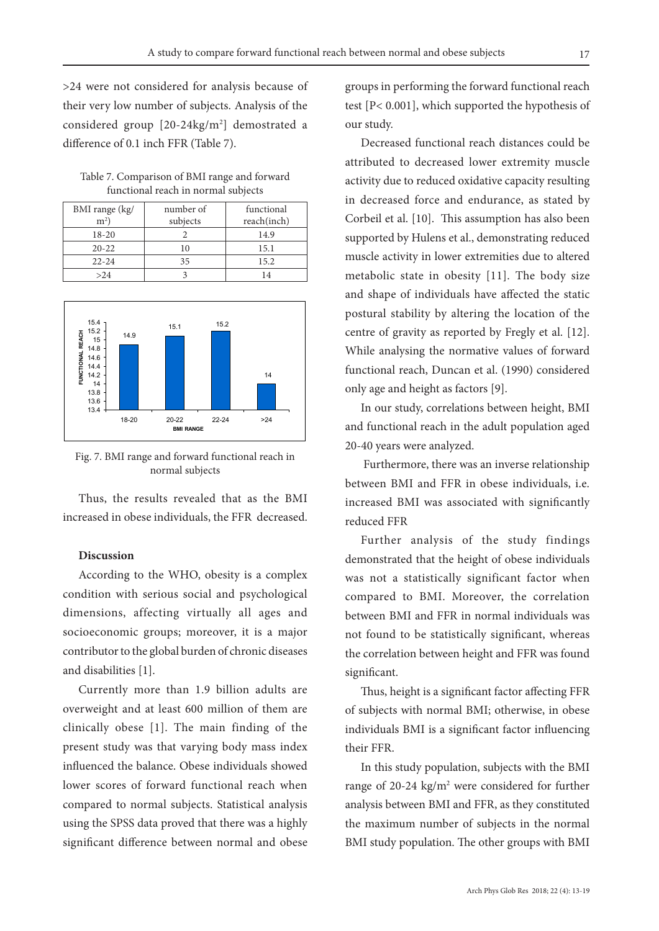>24 were not considered for analysis because of their very low number of subjects. Analysis of the considered group [20-24kg/m2 ] demostrated a difference of 0.1 inch FFR (Table 7).

Table 7. Comparison of BMI range and forward functional reach in normal subjects

| BMI range (kg/ | number of | functional  |
|----------------|-----------|-------------|
| $m2$ )         | subjects  | reach(inch) |
| 18-20          |           | 14.9        |
| $20 - 22$      | l ()      | 15.1        |
| $22 - 24$      | 35        | 15.2        |
| >24            |           |             |



Fig. 7. BMI range and forward functional reach in normal subjects

Thus, the results revealed that as the BMI increased in obese individuals, the FFR decreased.

# **Discussion**

According to the WHO, obesity is a complex condition with serious social and psychological dimensions, affecting virtually all ages and socioeconomic groups; moreover, it is a major contributor to the global burden of chronic diseases and disabilities [1].

Currently more than 1.9 billion adults are overweight and at least 600 million of them are clinically obese [1]. The main finding of the present study was that varying body mass index influenced the balance. Obese individuals showed lower scores of forward functional reach when compared to normal subjects. Statistical analysis using the SPSS data proved that there was a highly significant difference between normal and obese groups in performing the forward functional reach test [P< 0.001], which supported the hypothesis of our study.

Decreased functional reach distances could be attributed to decreased lower extremity muscle activity due to reduced oxidative capacity resulting in decreased force and endurance, as stated by Corbeil et al. [10]. This assumption has also been supported by Hulens et al., demonstrating reduced muscle activity in lower extremities due to altered metabolic state in obesity [11]. The body size and shape of individuals have affected the static postural stability by altering the location of the centre of gravity as reported by Fregly et al. [12]. While analysing the normative values of forward functional reach, Duncan et al. (1990) considered only age and height as factors [9].

In our study, correlations between height, BMI and functional reach in the adult population aged 20-40 years were analyzed.

 Furthermore, there was an inverse relationship between BMI and FFR in obese individuals, i.e. increased BMI was associated with significantly reduced FFR

Further analysis of the study findings demonstrated that the height of obese individuals was not a statistically significant factor when compared to BMI. Moreover, the correlation between BMI and FFR in normal individuals was not found to be statistically significant, whereas the correlation between height and FFR was found significant.

Thus, height is a significant factor affecting FFR of subjects with normal BMI; otherwise, in obese individuals BMI is a significant factor influencing their FFR.

In this study population, subjects with the BMI range of 20-24  $\text{kg/m}^2$  were considered for further analysis between BMI and FFR, as they constituted the maximum number of subjects in the normal BMI study population. The other groups with BMI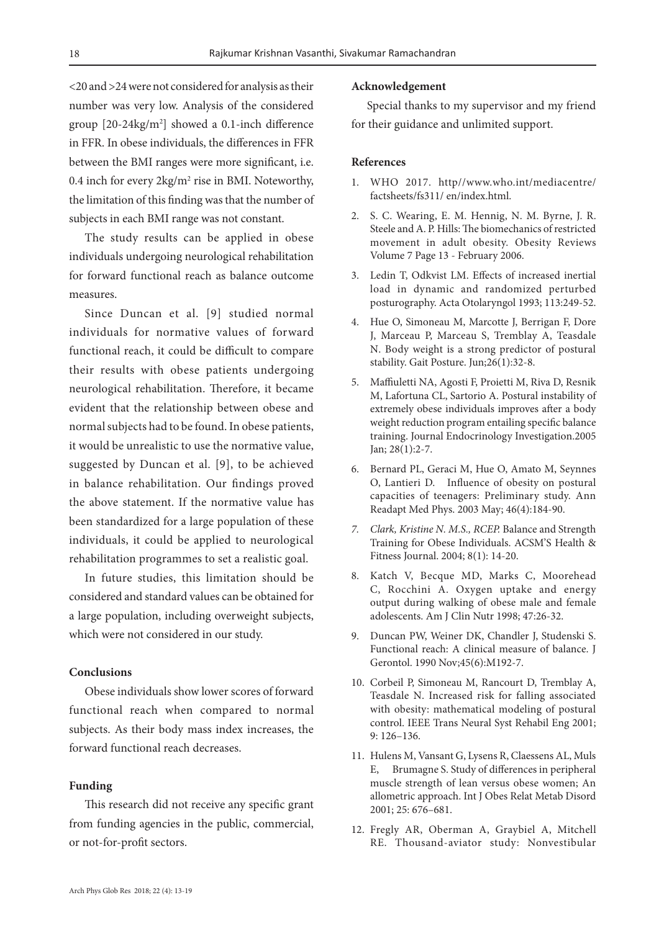<20 and >24 were not considered for analysis as their number was very low. Analysis of the considered group [20-24kg/m2 ] showed a 0.1-inch difference in FFR. In obese individuals, the differences in FFR between the BMI ranges were more significant, i.e. 0.4 inch for every  $2\text{kg/m}^2$  rise in BMI. Noteworthy, the limitation of this finding was that the number of subjects in each BMI range was not constant.

The study results can be applied in obese individuals undergoing neurological rehabilitation for forward functional reach as balance outcome measures.

Since Duncan et al. [9] studied normal individuals for normative values of forward functional reach, it could be difficult to compare their results with obese patients undergoing neurological rehabilitation. Therefore, it became evident that the relationship between obese and normal subjects had to be found. In obese patients, it would be unrealistic to use the normative value, suggested by Duncan et al. [9], to be achieved in balance rehabilitation. Our findings proved the above statement. If the normative value has been standardized for a large population of these individuals, it could be applied to neurological rehabilitation programmes to set a realistic goal.

In future studies, this limitation should be considered and standard values can be obtained for a large population, including overweight subjects, which were not considered in our study.

# **Conclusions**

Obese individuals show lower scores of forward functional reach when compared to normal subjects. As their body mass index increases, the forward functional reach decreases.

#### **Funding**

This research did not receive any specific grant from funding agencies in the public, commercial, or not-for-profit sectors.

#### **Acknowledgement**

Special thanks to my supervisor and my friend for their guidance and unlimited support.

### **References**

- 1. WHO 2017. http//www.who.int/mediacentre/ factsheets/fs311/ en/index.html.
- 2. S. C. Wearing, E. M. Hennig, N. M. Byrne, J. R. Steele and A. P. Hills: The biomechanics of restricted movement in adult obesity. Obesity Reviews Volume 7 Page 13 - February 2006.
- 3. Ledin T, Odkvist LM. Effects of increased inertial load in dynamic and randomized perturbed posturography. Acta Otolaryngol 1993; 113:249-52.
- 4. Hue O, Simoneau M, Marcotte J, Berrigan F, Dore J, Marceau P, Marceau S, Tremblay A, Teasdale N. Body weight is a strong predictor of postural stability. Gait Posture. Jun;26(1):32-8.
- 5. Maffiuletti NA, Agosti F, Proietti M, Riva D, Resnik M, Lafortuna CL, Sartorio A. Postural instability of extremely obese individuals improves after a body weight reduction program entailing specific balance training. Journal Endocrinology Investigation.2005 Jan; 28(1):2-7.
- 6. Bernard PL, Geraci M, Hue O, Amato M, Seynnes O, Lantieri D. Influence of obesity on postural capacities of teenagers: Preliminary study. Ann Readapt Med Phys. 2003 May; 46(4):184-90.
- *7. Clark, Kristine N. M.S., RCEP.* Balance and Strength Training for Obese Individuals. ACSM'S Health & Fitness Journal. 2004; 8(1): 14-20.
- 8. Katch V, Becque MD, Marks C, Moorehead C, Rocchini A. Oxygen uptake and energy output during walking of obese male and female adolescents. Am J Clin Nutr 1998; 47:26-32.
- 9. Duncan PW, Weiner DK, Chandler J, Studenski S. Functional reach: A clinical measure of balance. J Gerontol. 1990 Nov;45(6):M192-7.
- 10. Corbeil P, Simoneau M, Rancourt D, Tremblay A, Teasdale N. Increased risk for falling associated with obesity: mathematical modeling of postural control. IEEE Trans Neural Syst Rehabil Eng 2001; 9: 126–136.
- 11. Hulens M, Vansant G, Lysens R, Claessens AL, Muls E, Brumagne S. Study of differences in peripheral muscle strength of lean versus obese women; An allometric approach. Int J Obes Relat Metab Disord 2001; 25: 676–681.
- 12. Fregly AR, Oberman A, Graybiel A, Mitchell RE. Thousand-aviator study: Nonvestibular